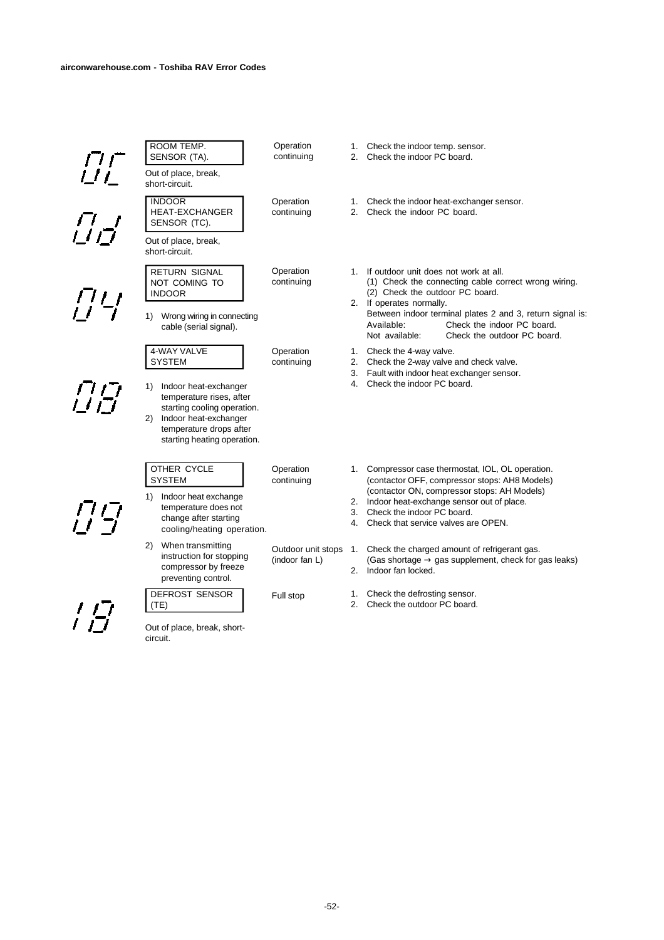

-52-